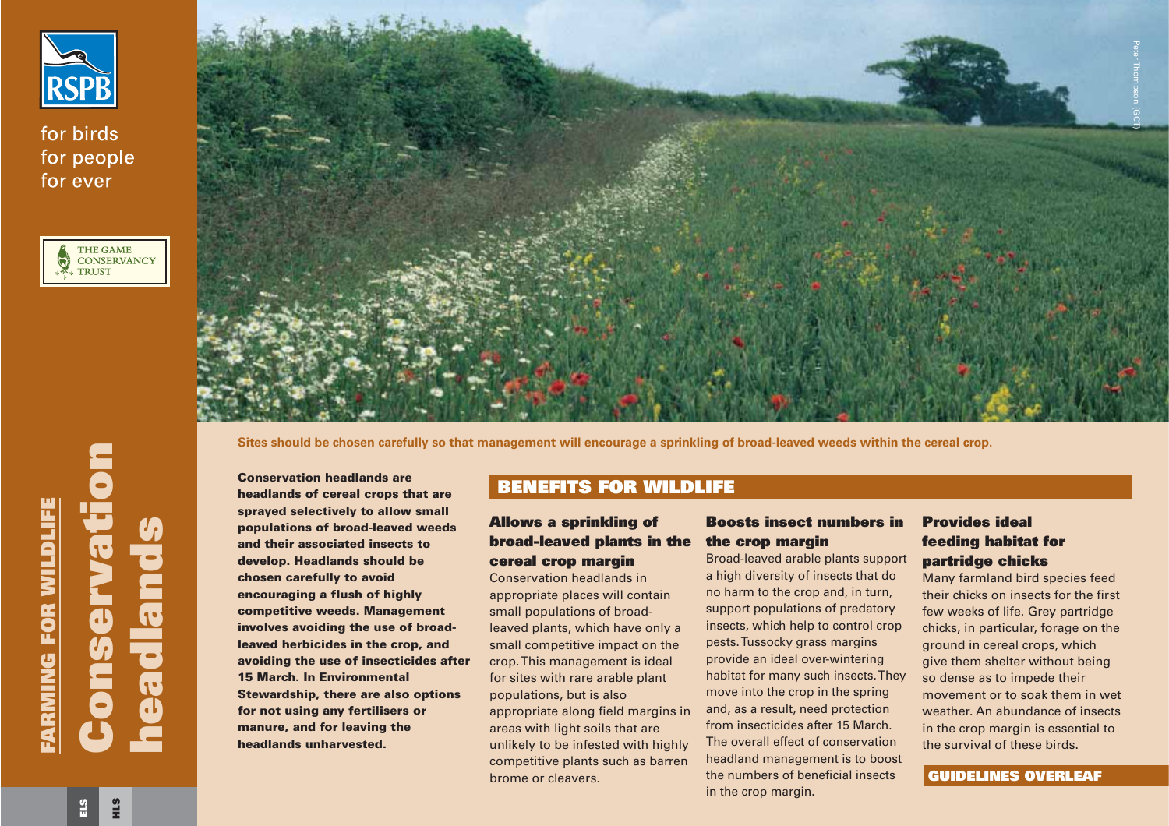

for birds for people for ever





**Sites should be chosen carefully so that management will encourage a sprinkling of broad-leaved weeds within the cereal crop.**

**Conservation headlands areheadlands of cereal crops that are sprayed selectively to allow small populations of broad-leaved weeds and their associated insects todevelop. Headlands should be chosen carefully to avoid encouraging a flush of highly competitive weeds. Management involves avoiding the use of broadleaved herbicides in the crop, and avoiding the use of insecticides after 15 March. In EnvironmentalStewardship, there are also options for not using any fertilisers or manure, and for leaving the headlands unharvested.Example 11 and their associated insects to**<br> **and their associated insects to**<br> **and their associated insects to**<br> **and their associated insects to**<br> **and their associated insects to**<br> **and their associated insects to**<br>

# **BENEFITS FOR WILDLIFE**

## **Allows a sprinkling of broad-leaved plants in the cereal crop margin**

Conservation headlands inappropriate places will contain small populations of broadleaved plants, which have only a small competitive impact on the crop. This management is ideal for sites with rare arable plant populations, but is also appropriate along field margins in areas with light soils that are unlikely to be infested with highly competitive plants such as barren brome or cleavers.

headland management is to boost the numbers of beneficial insectsin the crop margin.

# **Provides ideal feeding habitat for partridge chicks**

Many farmland bird species feed their chicks on insects for the firstfew weeks of life. Grey partridge chicks, in particular, forage on the ground in cereal crops, which give them shelter without being so dense as to impede their movement or to soak them in wetweather. An abundance of insectsin the crop margin is essential to the survival of these birds.

## **GUIDELINES OVERLEAF**

**HLS**

**Conservation**

nservatior